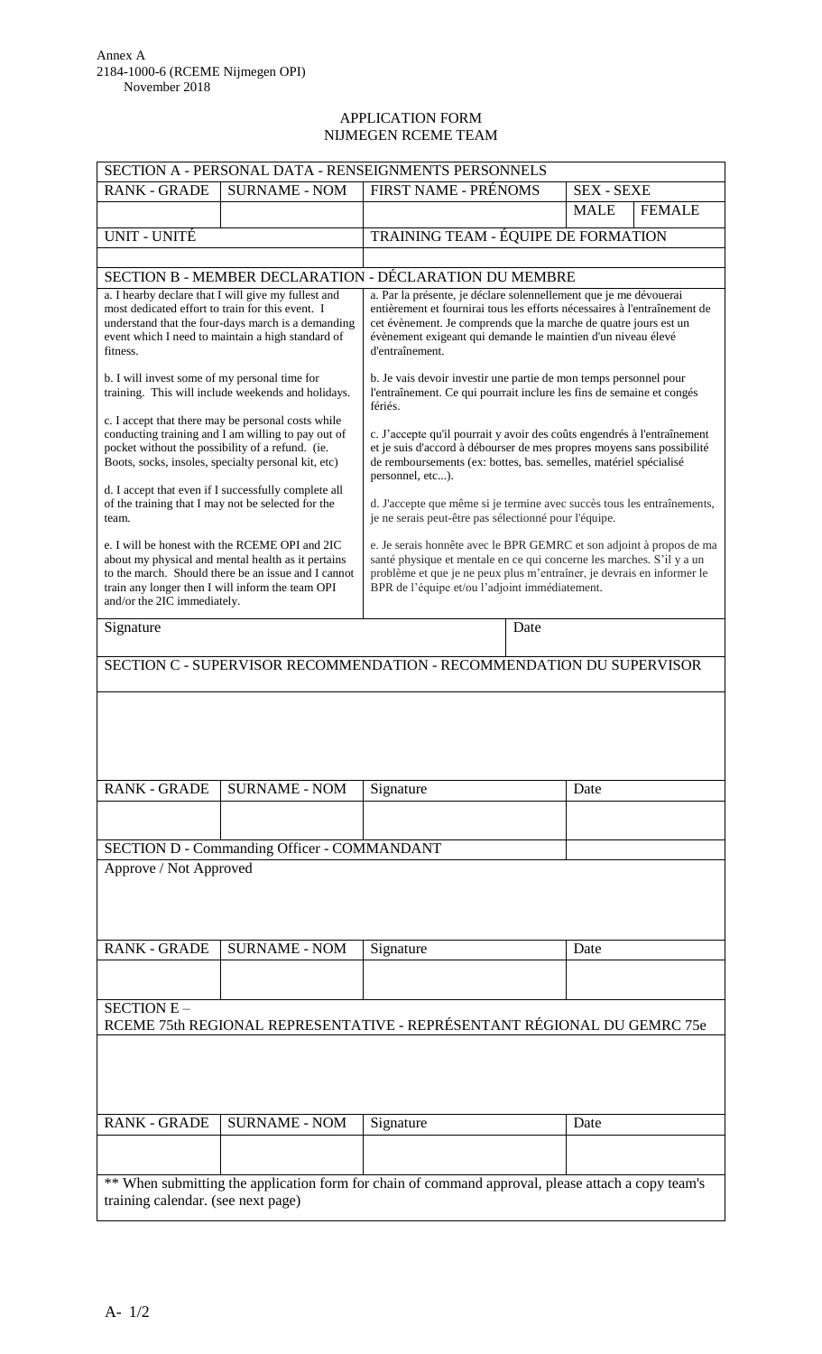## APPLICATION FORM NIJMEGEN RCEME TEAM

| SECTION A - PERSONAL DATA - RENSEIGNMENTS PERSONNELS                                                                                                                                                                                           |                                             |                                                                                                                                                                                                                                                                           |                   |               |
|------------------------------------------------------------------------------------------------------------------------------------------------------------------------------------------------------------------------------------------------|---------------------------------------------|---------------------------------------------------------------------------------------------------------------------------------------------------------------------------------------------------------------------------------------------------------------------------|-------------------|---------------|
| <b>RANK - GRADE</b>                                                                                                                                                                                                                            | <b>SURNAME - NOM</b>                        | FIRST NAME - PRÉNOMS                                                                                                                                                                                                                                                      | <b>SEX - SEXE</b> |               |
|                                                                                                                                                                                                                                                |                                             |                                                                                                                                                                                                                                                                           | <b>MALE</b>       | <b>FEMALE</b> |
| UNIT - UNITÉ                                                                                                                                                                                                                                   |                                             | TRAINING TEAM - ÉQUIPE DE FORMATION                                                                                                                                                                                                                                       |                   |               |
|                                                                                                                                                                                                                                                |                                             |                                                                                                                                                                                                                                                                           |                   |               |
| SECTION B - MEMBER DECLARATION - DÉCLARATION DU MEMBRE<br>a. Par la présente, je déclare solennellement que je me dévouerai                                                                                                                    |                                             |                                                                                                                                                                                                                                                                           |                   |               |
| a. I hearby declare that I will give my fullest and<br>most dedicated effort to train for this event. I<br>understand that the four-days march is a demanding<br>event which I need to maintain a high standard of<br>fitness.                 |                                             | entièrement et fournirai tous les efforts nécessaires à l'entraînement de<br>cet évènement. Je comprends que la marche de quatre jours est un<br>évènement exigeant qui demande le maintien d'un niveau élevé<br>d'entraînement.                                          |                   |               |
| b. I will invest some of my personal time for<br>training. This will include weekends and holidays.                                                                                                                                            |                                             | b. Je vais devoir investir une partie de mon temps personnel pour<br>l'entraînement. Ce qui pourrait inclure les fins de semaine et congés<br>fériés.                                                                                                                     |                   |               |
| c. I accept that there may be personal costs while<br>conducting training and I am willing to pay out of<br>pocket without the possibility of a refund. (ie.<br>Boots, socks, insoles, specialty personal kit, etc)                            |                                             | c. J'accepte qu'il pourrait y avoir des coûts engendrés à l'entraînement<br>et je suis d'accord à débourser de mes propres moyens sans possibilité<br>de remboursements (ex: bottes, bas. semelles, matériel spécialisé<br>personnel, etc).                               |                   |               |
| d. I accept that even if I successfully complete all<br>of the training that I may not be selected for the<br>team.                                                                                                                            |                                             | d. J'accepte que même si je termine avec succès tous les entraînements,<br>je ne serais peut-être pas sélectionné pour l'équipe.                                                                                                                                          |                   |               |
| e. I will be honest with the RCEME OPI and 2IC<br>about my physical and mental health as it pertains<br>to the march. Should there be an issue and I cannot<br>train any longer then I will inform the team OPI<br>and/or the 2IC immediately. |                                             | e. Je serais honnête avec le BPR GEMRC et son adjoint à propos de ma<br>santé physique et mentale en ce qui concerne les marches. S'il y a un<br>problème et que je ne peux plus m'entraîner, je devrais en informer le<br>BPR de l'équipe et/ou l'adjoint immédiatement. |                   |               |
| Signature                                                                                                                                                                                                                                      |                                             | Date                                                                                                                                                                                                                                                                      |                   |               |
| SECTION C - SUPERVISOR RECOMMENDATION - RECOMMENDATION DU SUPERVISOR                                                                                                                                                                           |                                             |                                                                                                                                                                                                                                                                           |                   |               |
|                                                                                                                                                                                                                                                |                                             |                                                                                                                                                                                                                                                                           |                   |               |
| <b>RANK - GRADE</b>                                                                                                                                                                                                                            | <b>SURNAME - NOM</b>                        | Signature                                                                                                                                                                                                                                                                 | Date              |               |
|                                                                                                                                                                                                                                                |                                             |                                                                                                                                                                                                                                                                           |                   |               |
|                                                                                                                                                                                                                                                | SECTION D - Commanding Officer - COMMANDANT |                                                                                                                                                                                                                                                                           |                   |               |
| Approve / Not Approved                                                                                                                                                                                                                         |                                             |                                                                                                                                                                                                                                                                           |                   |               |
|                                                                                                                                                                                                                                                |                                             |                                                                                                                                                                                                                                                                           |                   |               |
| <b>RANK - GRADE</b>                                                                                                                                                                                                                            | <b>SURNAME - NOM</b>                        | Signature                                                                                                                                                                                                                                                                 | Date              |               |
|                                                                                                                                                                                                                                                |                                             |                                                                                                                                                                                                                                                                           |                   |               |
| SECTION E-<br>RCEME 75th REGIONAL REPRESENTATIVE - REPRÉSENTANT RÉGIONAL DU GEMRC 75e                                                                                                                                                          |                                             |                                                                                                                                                                                                                                                                           |                   |               |
|                                                                                                                                                                                                                                                |                                             |                                                                                                                                                                                                                                                                           |                   |               |
| <b>RANK - GRADE</b>                                                                                                                                                                                                                            | <b>SURNAME - NOM</b>                        | Signature                                                                                                                                                                                                                                                                 | Date              |               |
|                                                                                                                                                                                                                                                |                                             |                                                                                                                                                                                                                                                                           |                   |               |
|                                                                                                                                                                                                                                                |                                             |                                                                                                                                                                                                                                                                           |                   |               |
| ** When submitting the application form for chain of command approval, please attach a copy team's<br>training calendar. (see next page)                                                                                                       |                                             |                                                                                                                                                                                                                                                                           |                   |               |